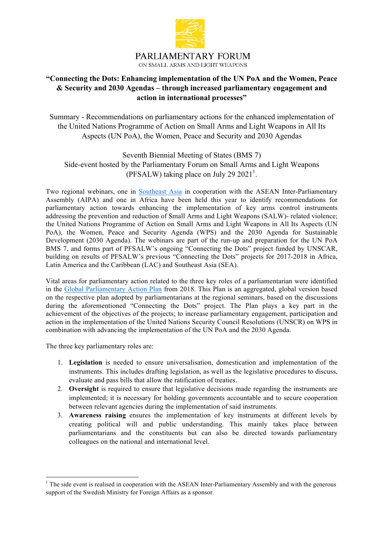

# **"Connecting the Dots: Enhancing implementation of the UN PoA and the Women, Peace & Security and 2030 Agendas – through increased parliamentary engagement and action in international processes"**

Summary - Recommendations on parliamentary actions for the enhanced implementation of the United Nations Programme of Action on Small Arms and Light Weapons in All Its Aspects (UN PoA), the Women, Peace and Security and 2030 Agendas

Seventh Biennial Meeting of States (BMS 7) Side-event hosted by the Parliamentary Forum on Small Arms and Light Weapons (PFSALW) taking place on July 29  $2021<sup>1</sup>$ .

Two regional webinars, one in Southeast Asia in cooperation with the ASEAN Inter-Parliamentary Assembly (AIPA) and one in Africa have been held this year to identify recommendations for parliamentary action towards enhancing the implementation of key arms control instruments addressing the prevention and reduction of Small Arms and Light Weapons (SALW)- related violence; the United Nations Programme of Action on Small Arms and Light Weapons in All Its Aspects (UN PoA), the Women, Peace and Security Agenda (WPS) and the 2030 Agenda for Sustainable Development (2030 Agenda). The webinars are part of the run-up and preparation for the UN PoA BMS 7, and forms part of PFSALW's ongoing "Connecting the Dots" project funded by UNSCAR, building on results of PFSALW's previous "Connecting the Dots" projects for 2017-2018 in Africa, Latin America and the Caribbean (LAC) and Southeast Asia (SEA).

Vital areas for parliamentary action related to the three key roles of a parliamentarian were identified in the Global Parliamentary Action Plan from 2018. This Plan is an aggregated, global version based on the respective plan adopted by parliamentarians at the regional seminars, based on the discussions during the aforementioned "Connecting the Dots" project. The Plan plays a key part in the achievement of the objectives of the projects; to increase parliamentary engagement, participation and action in the implementation of the United Nations Security Council Resolutions (UNSCR) on WPS in combination with advancing the implementation of the UN PoA and the 2030 Agenda.

The three key parliamentary roles are:

 

- 1. **Legislation** is needed to ensure universalisation, domestication and implementation of the instruments. This includes drafting legislation, as well as the legislative procedures to discuss, evaluate and pass bills that allow the ratification of treaties.
- 2. **Oversight** is required to ensure that legislative decisions made regarding the instruments are implemented; it is necessary for holding governments accountable and to secure cooperation between relevant agencies during the implementation of said instruments.
- 3. **Awareness raising** ensures the implementation of key instruments at different levels by creating political will and public understanding. This mainly takes place between parliamentarians and the constituents but can also be directed towards parliamentary colleagues on the national and international level.

<sup>&</sup>lt;sup>1</sup> The side event is realised in cooperation with the ASEAN Inter-Parliamentary Assembly and with the generous support of the Swedish Ministry for Foreign Affairs as a sponsor.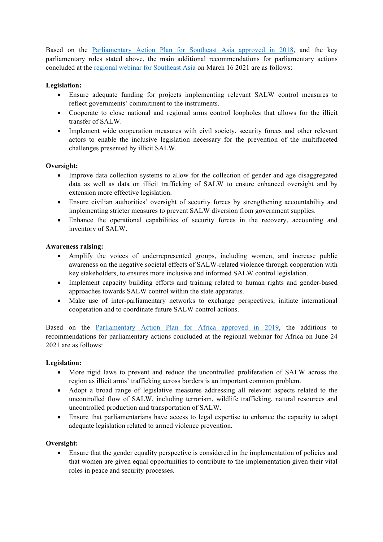Based on the Parliamentary Action Plan for Southeast Asia approved in 2018, and the key parliamentary roles stated above, the main additional recommendations for parliamentary actions concluded at the regional webinar for Southeast Asia on March 16 2021 are as follows:

## **Legislation:**

- Ensure adequate funding for projects implementing relevant SALW control measures to reflect governments' commitment to the instruments.
- Cooperate to close national and regional arms control loopholes that allows for the illicit transfer of SALW.
- Implement wide cooperation measures with civil society, security forces and other relevant actors to enable the inclusive legislation necessary for the prevention of the multifaceted challenges presented by illicit SALW.

## **Oversight:**

- Improve data collection systems to allow for the collection of gender and age disaggregated data as well as data on illicit trafficking of SALW to ensure enhanced oversight and by extension more effective legislation.
- Ensure civilian authorities' oversight of security forces by strengthening accountability and implementing stricter measures to prevent SALW diversion from government supplies.
- Enhance the operational capabilities of security forces in the recovery, accounting and inventory of SALW.

#### **Awareness raising:**

- Amplify the voices of underrepresented groups, including women, and increase public awareness on the negative societal effects of SALW-related violence through cooperation with key stakeholders, to ensures more inclusive and informed SALW control legislation.
- Implement capacity building efforts and training related to human rights and gender-based approaches towards SALW control within the state apparatus.
- Make use of inter-parliamentary networks to exchange perspectives, initiate international cooperation and to coordinate future SALW control actions.

Based on the Parliamentary Action Plan for Africa approved in 2019, the additions to recommendations for parliamentary actions concluded at the regional webinar for Africa on June 24 2021 are as follows:

## **Legislation:**

- More rigid laws to prevent and reduce the uncontrolled proliferation of SALW across the region as illicit arms' trafficking across borders is an important common problem.
- Adopt a broad range of legislative measures addressing all relevant aspects related to the uncontrolled flow of SALW, including terrorism, wildlife trafficking, natural resources and uncontrolled production and transportation of SALW.
- Ensure that parliamentarians have access to legal expertise to enhance the capacity to adopt adequate legislation related to armed violence prevention.

## **Oversight:**

• Ensure that the gender equality perspective is considered in the implementation of policies and that women are given equal opportunities to contribute to the implementation given their vital roles in peace and security processes.